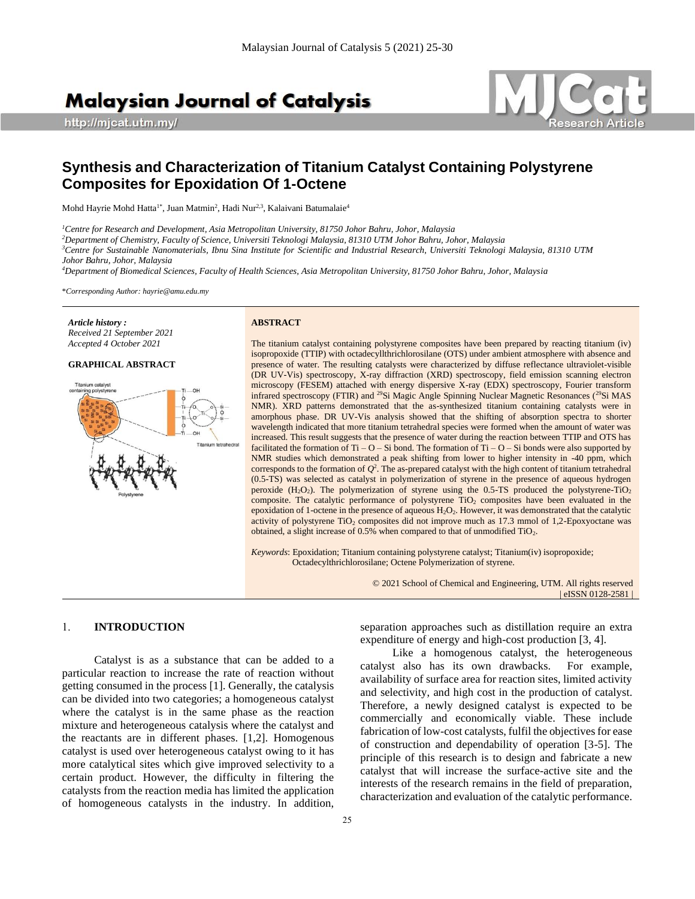# **Malaysian Journal of Catalysis**

http://mjcat.utm.my/



# **Synthesis and Characterization of Titanium Catalyst Containing Polystyrene Composites for Epoxidation Of 1-Octene**

Mohd Hayrie Mohd Hatta<sup>1\*</sup>, Juan Matmin<sup>2</sup>, Hadi Nur<sup>2,3</sup>, Kalaivani Batumalaie<sup>4</sup>

*<sup>1</sup>Centre for Research and Development, Asia Metropolitan University, 81750 Johor Bahru, Johor, Malaysia*

*<sup>2</sup>Department of Chemistry, Faculty of Science, Universiti Teknologi Malaysia, 81310 UTM Johor Bahru, Johor, Malaysia*

*<sup>3</sup>Centre for Sustainable Nanomaterials, Ibnu Sina Institute for Scientific and Industrial Research, Universiti Teknologi Malaysia, 81310 UTM Johor Bahru, Johor, Malaysia*

*<sup>4</sup>Department of Biomedical Sciences, Faculty of Health Sciences, Asia Metropolitan University, 81750 Johor Bahru, Johor, Malaysia*

\**Corresponding Author: hayrie@amu.edu.my*

*Article history : Received 21 September 2021 Accepted 4 October 2021*

# **GRAPHICAL ABSTRACT**



#### **ABSTRACT**

The titanium catalyst containing polystyrene composites have been prepared by reacting titanium (iv) isopropoxide (TTIP) with octadecyllthrichlorosilane (OTS) under ambient atmosphere with absence and presence of water. The resulting catalysts were characterized by diffuse reflectance ultraviolet-visible (DR UV-Vis) spectroscopy, X-ray diffraction (XRD) spectroscopy, field emission scanning electron microscopy (FESEM) attached with energy dispersive X-ray (EDX) spectroscopy, Fourier transform infrared spectroscopy (FTIR) and <sup>29</sup>Si Magic Angle Spinning Nuclear Magnetic Resonances (<sup>29</sup>Si MAS NMR). XRD patterns demonstrated that the as-synthesized titanium containing catalysts were in amorphous phase. DR UV-Vis analysis showed that the shifting of absorption spectra to shorter wavelength indicated that more titanium tetrahedral species were formed when the amount of water was increased. This result suggests that the presence of water during the reaction between TTIP and OTS has facilitated the formation of Ti – O – Si bond. The formation of Ti – O – Si bonds were also supported by NMR studies which demonstrated a peak shifting from lower to higher intensity in -40 ppm, which corresponds to the formation of  $Q^2$ . The as-prepared catalyst with the high content of titanium tetrahedral (0.5-TS) was selected as catalyst in polymerization of styrene in the presence of aqueous hydrogen peroxide  $(H_2O_2)$ . The polymerization of styrene using the 0.5-TS produced the polystyrene-TiO<sub>2</sub> composite. The catalytic performance of polystyrene TiO<sub>2</sub> composites have been evaluated in the epoxidation of 1-octene in the presence of aqueous  $H_2O_2$ . However, it was demonstrated that the catalytic activity of polystyrene  $TiO<sub>2</sub>$  composites did not improve much as 17.3 mmol of 1,2-Epoxyoctane was obtained, a slight increase of 0.5% when compared to that of unmodified TiO2.

*Keywords*: Epoxidation; Titanium containing polystyrene catalyst; Titanium(iv) isopropoxide; Octadecylthrichlorosilane; Octene Polymerization of styrene.

> © 2021 School of Chemical and Engineering, UTM. All rights reserved | eISSN 0128-2581 |

#### 1. **INTRODUCTION**

Catalyst is as a substance that can be added to a particular reaction to increase the rate of reaction without getting consumed in the process [1]. Generally, the catalysis can be divided into two categories; a homogeneous catalyst where the catalyst is in the same phase as the reaction mixture and heterogeneous catalysis where the catalyst and the reactants are in different phases. [1,2]. Homogenous catalyst is used over heterogeneous catalyst owing to it has more catalytical sites which give improved selectivity to a certain product. However, the difficulty in filtering the catalysts from the reaction media has limited the application of homogeneous catalysts in the industry. In addition,

separation approaches such as distillation require an extra expenditure of energy and high-cost production [3, 4].

Like a homogenous catalyst, the heterogeneous catalyst also has its own drawbacks. For example, availability of surface area for reaction sites, limited activity and selectivity, and high cost in the production of catalyst. Therefore, a newly designed catalyst is expected to be commercially and economically viable. These include fabrication of low-cost catalysts, fulfil the objectives for ease of construction and dependability of operation [3-5]. The principle of this research is to design and fabricate a new catalyst that will increase the surface-active site and the interests of the research remains in the field of preparation, characterization and evaluation of the catalytic performance.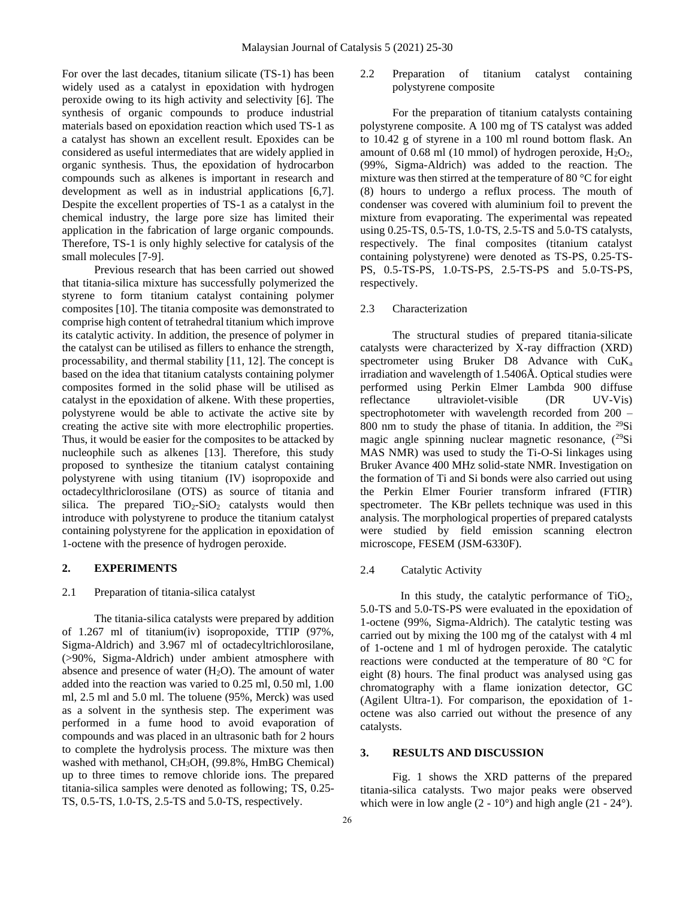For over the last decades, titanium silicate (TS-1) has been widely used as a catalyst in epoxidation with hydrogen peroxide owing to its high activity and selectivity [6]. The synthesis of organic compounds to produce industrial materials based on epoxidation reaction which used TS-1 as a catalyst has shown an excellent result. Epoxides can be considered as useful intermediates that are widely applied in organic synthesis. Thus, the epoxidation of hydrocarbon compounds such as alkenes is important in research and development as well as in industrial applications [6,7]. Despite the excellent properties of TS-1 as a catalyst in the chemical industry, the large pore size has limited their application in the fabrication of large organic compounds. Therefore, TS-1 is only highly selective for catalysis of the small molecules [7-9].

Previous research that has been carried out showed that titania-silica mixture has successfully polymerized the styrene to form titanium catalyst containing polymer composites [10]. The titania composite was demonstrated to comprise high content of tetrahedral titanium which improve its catalytic activity. In addition, the presence of polymer in the catalyst can be utilised as fillers to enhance the strength, processability, and thermal stability [11, 12]. The concept is based on the idea that titanium catalysts containing polymer composites formed in the solid phase will be utilised as catalyst in the epoxidation of alkene. With these properties, polystyrene would be able to activate the active site by creating the active site with more electrophilic properties. Thus, it would be easier for the composites to be attacked by nucleophile such as alkenes [13]. Therefore, this study proposed to synthesize the titanium catalyst containing polystyrene with using titanium (IV) isopropoxide and octadecylthriclorosilane (OTS) as source of titania and silica. The prepared  $TiO<sub>2</sub>-SiO<sub>2</sub>$  catalysts would then introduce with polystyrene to produce the titanium catalyst containing polystyrene for the application in epoxidation of 1-octene with the presence of hydrogen peroxide.

# **2. EXPERIMENTS**

# 2.1 Preparation of titania-silica catalyst

The titania-silica catalysts were prepared by addition of 1.267 ml of titanium(iv) isopropoxide, TTIP (97%, Sigma-Aldrich) and 3.967 ml of octadecyltrichlorosilane, (>90%, Sigma-Aldrich) under ambient atmosphere with absence and presence of water  $(H<sub>2</sub>O)$ . The amount of water added into the reaction was varied to 0.25 ml, 0.50 ml, 1.00 ml, 2.5 ml and 5.0 ml. The toluene (95%, Merck) was used as a solvent in the synthesis step. The experiment was performed in a fume hood to avoid evaporation of compounds and was placed in an ultrasonic bath for 2 hours to complete the hydrolysis process. The mixture was then washed with methanol, CH3OH, (99.8%, HmBG Chemical) up to three times to remove chloride ions. The prepared titania-silica samples were denoted as following; TS, 0.25- TS, 0.5-TS, 1.0-TS, 2.5-TS and 5.0-TS, respectively.

2.2 Preparation of titanium catalyst containing polystyrene composite

For the preparation of titanium catalysts containing polystyrene composite. A 100 mg of TS catalyst was added to 10.42 g of styrene in a 100 ml round bottom flask. An amount of 0.68 ml (10 mmol) of hydrogen peroxide,  $H_2O_2$ , (99%, Sigma-Aldrich) was added to the reaction. The mixture was then stirred at the temperature of 80 °C for eight (8) hours to undergo a reflux process. The mouth of condenser was covered with aluminium foil to prevent the mixture from evaporating. The experimental was repeated using 0.25-TS, 0.5-TS, 1.0-TS, 2.5-TS and 5.0-TS catalysts, respectively. The final composites (titanium catalyst containing polystyrene) were denoted as TS-PS, 0.25-TS-PS, 0.5-TS-PS, 1.0-TS-PS, 2.5-TS-PS and 5.0-TS-PS, respectively.

#### 2.3 Characterization

The structural studies of prepared titania-silicate catalysts were characterized by X-ray diffraction (XRD) spectrometer using Bruker D8 Advance with CuK<sup>a</sup> irradiation and wavelength of 1.5406Å. Optical studies were performed using Perkin Elmer Lambda 900 diffuse reflectance ultraviolet-visible (DR UV-Vis) spectrophotometer with wavelength recorded from 200 – 800 nm to study the phase of titania. In addition, the  $^{29}Si$ magic angle spinning nuclear magnetic resonance, (<sup>29</sup>Si MAS NMR) was used to study the Ti-O-Si linkages using Bruker Avance 400 MHz solid-state NMR. Investigation on the formation of Ti and Si bonds were also carried out using the Perkin Elmer Fourier transform infrared (FTIR) spectrometer. The KBr pellets technique was used in this analysis. The morphological properties of prepared catalysts were studied by field emission scanning electron microscope, FESEM (JSM-6330F).

# 2.4 Catalytic Activity

In this study, the catalytic performance of  $TiO<sub>2</sub>$ , 5.0-TS and 5.0-TS-PS were evaluated in the epoxidation of 1-octene (99%, Sigma-Aldrich). The catalytic testing was carried out by mixing the 100 mg of the catalyst with 4 ml of 1-octene and 1 ml of hydrogen peroxide. The catalytic reactions were conducted at the temperature of 80 °C for eight (8) hours. The final product was analysed using gas chromatography with a flame ionization detector, GC (Agilent Ultra-1). For comparison, the epoxidation of 1 octene was also carried out without the presence of any catalysts.

#### **3. RESULTS AND DISCUSSION**

Fig. 1 shows the XRD patterns of the prepared titania-silica catalysts. Two major peaks were observed which were in low angle  $(2 - 10^{\circ})$  and high angle  $(21 - 24^{\circ})$ .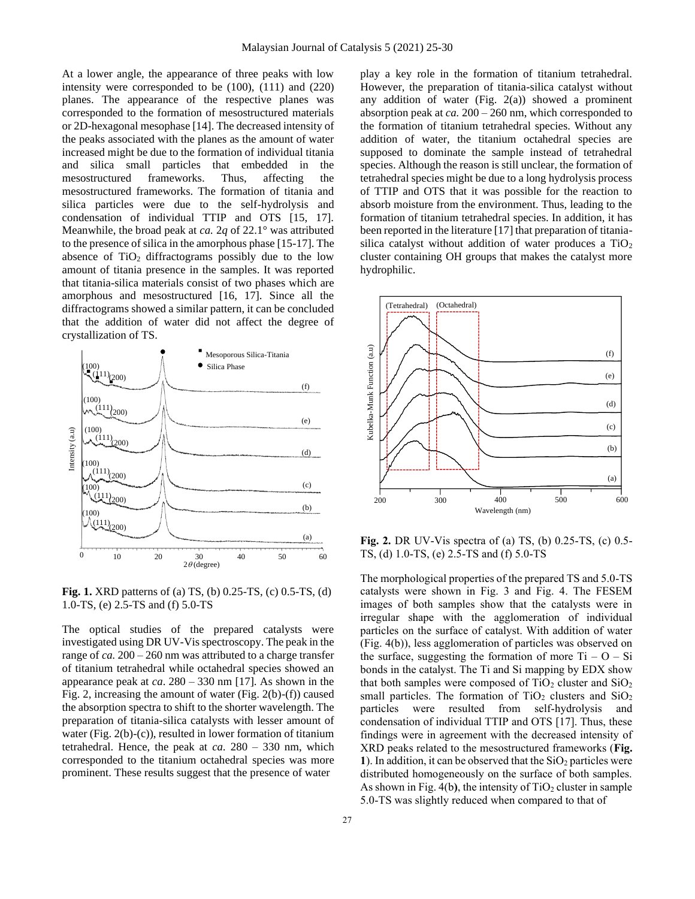At a lower angle, the appearance of three peaks with low intensity were corresponded to be (100), (111) and (220) planes. The appearance of the respective planes was corresponded to the formation of mesostructured materials or 2D-hexagonal mesophase [14]. The decreased intensity of the peaks associated with the planes as the amount of water increased might be due to the formation of individual titania and silica small particles that embedded in the mesostructured frameworks. Thus, affecting the mesostructured frameworks. The formation of titania and silica particles were due to the self-hydrolysis and condensation of individual TTIP and OTS [15, 17]. Meanwhile, the broad peak at *ca.* 2*q* of 22.1° was attributed to the presence of silica in the amorphous phase [15-17]. The absence of TiO<sub>2</sub> diffractograms possibly due to the low amount of titania presence in the samples. It was reported that titania-silica materials consist of two phases which are amorphous and mesostructured [16, 17]. Since all the diffractograms showed a similar pattern, it can be concluded that the addition of water did not affect the degree of crystallization of TS.



**Fig. 1.** XRD patterns of (a) TS, (b) 0.25-TS, (c) 0.5-TS, (d) 1.0-TS, (e) 2.5-TS and (f) 5.0-TS

The optical studies of the prepared catalysts were investigated using DR UV-Vis spectroscopy. The peak in the range of *ca.* 200 – 260 nm was attributed to a charge transfer of titanium tetrahedral while octahedral species showed an appearance peak at *ca*. 280 – 330 nm [17]. As shown in the Fig. 2, increasing the amount of water (Fig. 2(b)-(f)) caused the absorption spectra to shift to the shorter wavelength. The preparation of titania-silica catalysts with lesser amount of water (Fig. 2(b)-(c)), resulted in lower formation of titanium tetrahedral. Hence, the peak at *ca.* 280 – 330 nm, which corresponded to the titanium octahedral species was more prominent. These results suggest that the presence of water

play a key role in the formation of titanium tetrahedral. However, the preparation of titania-silica catalyst without any addition of water (Fig.  $2(a)$ ) showed a prominent absorption peak at *ca.* 200 – 260 nm, which corresponded to the formation of titanium tetrahedral species. Without any addition of water, the titanium octahedral species are supposed to dominate the sample instead of tetrahedral species. Although the reason is still unclear, the formation of tetrahedral species might be due to a long hydrolysis process of TTIP and OTS that it was possible for the reaction to absorb moisture from the environment. Thus, leading to the formation of titanium tetrahedral species. In addition, it has been reported in the literature [17] that preparation of titaniasilica catalyst without addition of water produces a  $TiO<sub>2</sub>$ cluster containing OH groups that makes the catalyst more hydrophilic.



**Fig. 2.** DR UV-Vis spectra of (a) TS, (b)  $0.25$ -TS, (c)  $0.5$ - $\overline{\phantom{a}}$ TS, (d) 1.0-TS, (e) 2.5-TS and (f) 5.0-TS

The morphological properties of the prepared TS and 5.0-TS catalysts were shown in Fig. 3 and Fig. 4. The FESEM images of both samples show that the catalysts were in irregular shape with the agglomeration of individual particles on the surface of catalyst. With addition of water (Fig. 4(b)), less agglomeration of particles was observed on the surface, suggesting the formation of more  $Ti - O - Si$ bonds in the catalyst. The Ti and Si mapping by EDX show that both samples were composed of  $TiO<sub>2</sub>$  cluster and  $SiO<sub>2</sub>$ small particles. The formation of TiO<sub>2</sub> clusters and  $SiO<sub>2</sub>$ particles were resulted from self-hydrolysis and condensation of individual TTIP and OTS [17]. Thus, these findings were in agreement with the decreased intensity of XRD peaks related to the mesostructured frameworks (**Fig.**  1). In addition, it can be observed that the  $SiO<sub>2</sub>$  particles were distributed homogeneously on the surface of both samples. As shown in Fig.  $4(b)$ , the intensity of  $TiO<sub>2</sub>$  cluster in sample 5.0-TS was slightly reduced when compared to that of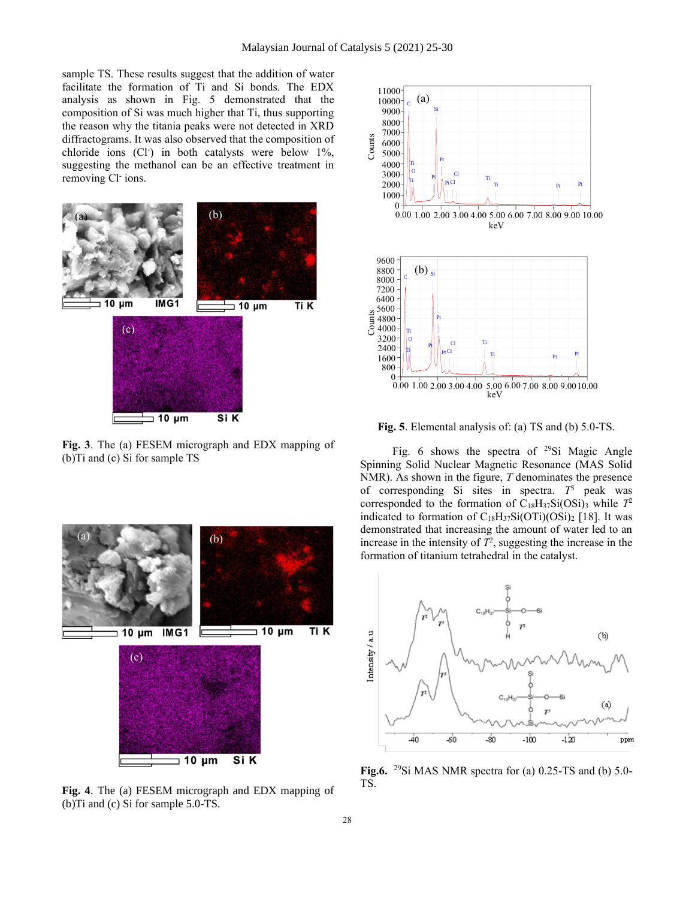sample TS. These results suggest that the addition of water facilitate the formation of Ti and Si bonds. The EDX analysis as shown in Fig. 5 demonstrated that the composition of Si was much higher that Ti, thus supporting the reason why the titania peaks were not detected in XRD diffractograms. It was also observed that the composition of chloride ions (Cl- ) in both catalysts were below 1%, suggesting the methanol can be an effective treatment in removing Cl ions.



**Fig. 3**. The (a) FESEM micrograph and EDX mapping of (b)Ti and (c) Si for sample TS



**Fig. 4**. The (a) FESEM micrograph and EDX mapping of (b)Ti and (c) Si for sample 5.0-TS.



**Fig. 5**. Elemental analysis of: (a) TS and (b) 5.0-TS.

Fig. 6 shows the spectra of <sup>29</sup>Si Magic Angle Spinning Solid Nuclear Magnetic Resonance (MAS Solid NMR). As shown in the figure, *T* denominates the presence of corresponding Si sites in spectra. *T* <sup>3</sup> peak was corresponded to the formation of  $C_{18}H_{37}Si(OSi)_{3}$  while  $T^2$ indicated to formation of  $C_{18}H_{37}Si(OTi)(OSi)_2$  [18]. It was demonstrated that increasing the amount of water led to an increase in the intensity of  $T^2$ , suggesting the increase in the formation of titanium tetrahedral in the catalyst.



**Fig.6.** <sup>29</sup>Si MAS NMR spectra for (a) 0.25-TS and (b) 5.0- TS.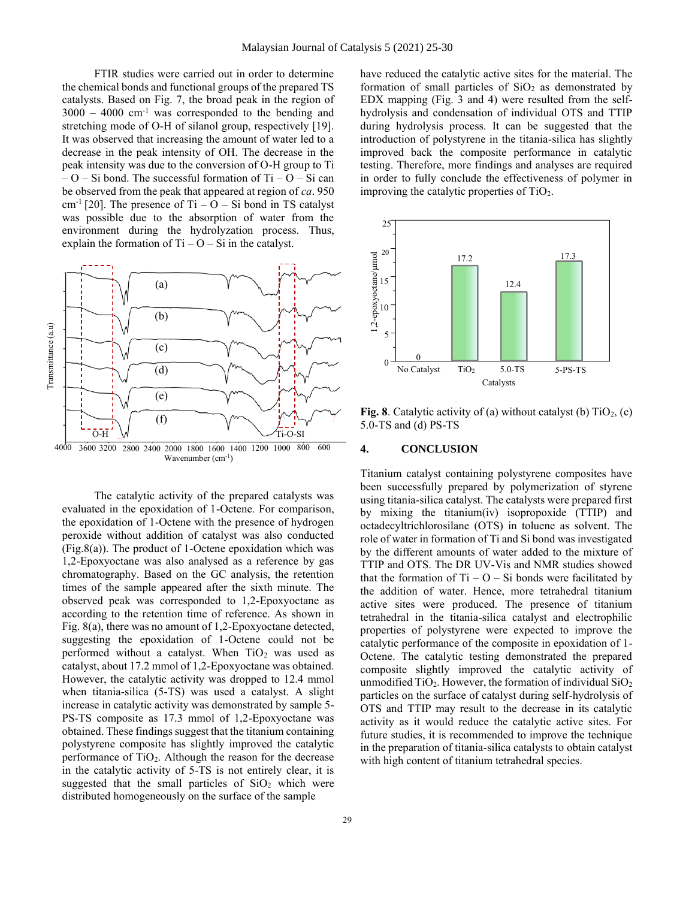FTIR studies were carried out in order to determine the chemical bonds and functional groups of the prepared TS catalysts. Based on Fig. 7, the broad peak in the region of  $3000 - 4000$  cm<sup>-1</sup> was corresponded to the bending and stretching mode of O-H of silanol group, respectively [19]. It was observed that increasing the amount of water led to a decrease in the peak intensity of OH. The decrease in the peak intensity was due to the conversion of O-H group to Ti  $-$  O – Si bond. The successful formation of Ti – O – Si can be observed from the peak that appeared at region of *ca*. 950 cm<sup>-1</sup> [20]. The presence of Ti –  $O - Si$  bond in TS catalyst was possible due to the absorption of water from the environment during the hydrolyzation process. Thus, explain the formation of  $Ti - O - Si$  in the catalyst.



The catalytic activity of the prepared catalysts was evaluated in the epoxidation of 1-Octene. For comparison, the epoxidation of 1-Octene with the presence of hydrogen peroxide without addition of catalyst was also conducted (Fig.8(a)). The product of 1-Octene epoxidation which was 1,2-Epoxyoctane was also analysed as a reference by gas chromatography. Based on the GC analysis, the retention times of the sample appeared after the sixth minute. The observed peak was corresponded to 1,2-Epoxyoctane as according to the retention time of reference. As shown in Fig. 8(a), there was no amount of 1,2-Epoxyoctane detected, suggesting the epoxidation of 1-Octene could not be performed without a catalyst. When  $TiO<sub>2</sub>$  was used as catalyst, about 17.2 mmol of 1,2-Epoxyoctane was obtained. However, the catalytic activity was dropped to 12.4 mmol when titania-silica (5-TS) was used a catalyst. A slight increase in catalytic activity was demonstrated by sample 5- PS-TS composite as 17.3 mmol of 1,2-Epoxyoctane was obtained. These findings suggest that the titanium containing polystyrene composite has slightly improved the catalytic performance of  $TiO<sub>2</sub>$ . Although the reason for the decrease in the catalytic activity of 5-TS is not entirely clear, it is suggested that the small particles of  $SiO<sub>2</sub>$  which were distributed homogeneously on the surface of the sample

have reduced the catalytic active sites for the material. The formation of small particles of  $SiO<sub>2</sub>$  as demonstrated by EDX mapping (Fig. 3 and 4) were resulted from the selfhydrolysis and condensation of individual OTS and TTIP during hydrolysis process. It can be suggested that the introduction of polystyrene in the titania-silica has slightly improved back the composite performance in catalytic testing. Therefore, more findings and analyses are required in order to fully conclude the effectiveness of polymer in improving the catalytic properties of  $TiO<sub>2</sub>$ .



**Fig. 8**. Catalytic activity of (a) without catalyst (b)  $TiO<sub>2</sub>$ , (c) 5.0-TS and (d) PS-TS

# **4. CONCLUSION**

Titanium catalyst containing polystyrene composites have been successfully prepared by polymerization of styrene using titania-silica catalyst. The catalysts were prepared first by mixing the titanium(iv) isopropoxide (TTIP) and octadecyltrichlorosilane (OTS) in toluene as solvent. The role of water in formation of Ti and Si bond was investigated by the different amounts of water added to the mixture of TTIP and OTS. The DR UV-Vis and NMR studies showed that the formation of  $Ti - O - Si$  bonds were facilitated by the addition of water. Hence, more tetrahedral titanium active sites were produced. The presence of titanium tetrahedral in the titania-silica catalyst and electrophilic properties of polystyrene were expected to improve the catalytic performance of the composite in epoxidation of 1- Octene. The catalytic testing demonstrated the prepared composite slightly improved the catalytic activity of unmodified  $TiO<sub>2</sub>$ . However, the formation of individual  $SiO<sub>2</sub>$ particles on the surface of catalyst during self-hydrolysis of OTS and TTIP may result to the decrease in its catalytic activity as it would reduce the catalytic active sites. For future studies, it is recommended to improve the technique in the preparation of titania-silica catalysts to obtain catalyst with high content of titanium tetrahedral species.